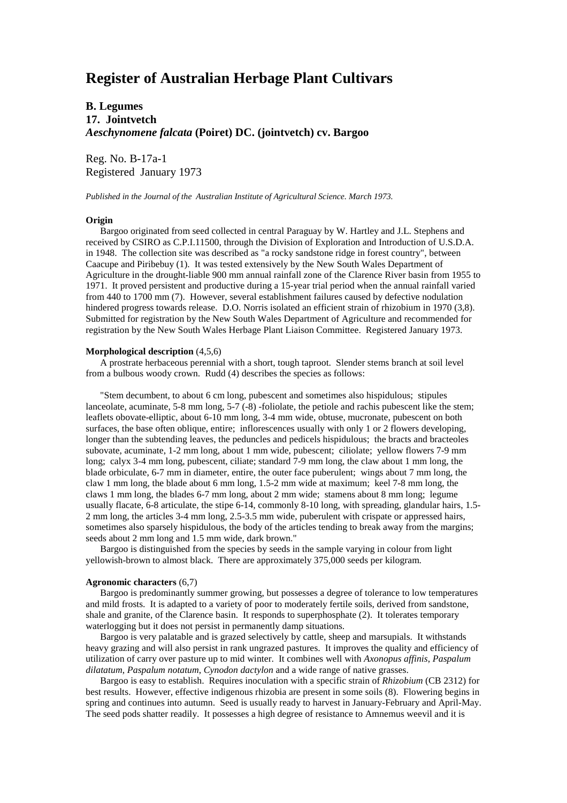# **Register of Australian Herbage Plant Cultivars**

# **B. Legumes 17. Jointvetch** *Aeschynomene falcata* **(Poiret) DC. (jointvetch) cv. Bargoo**

Reg. No. B-17a-1 Registered January 1973

*Published in the Journal of the Australian Institute of Agricultural Science. March 1973.*

#### **Origin**

 Bargoo originated from seed collected in central Paraguay by W. Hartley and J.L. Stephens and received by CSIRO as C.P.I.11500, through the Division of Exploration and Introduction of U.S.D.A. in 1948. The collection site was described as "a rocky sandstone ridge in forest country", between Caacupe and Piribebuy (1). It was tested extensively by the New South Wales Department of Agriculture in the drought-liable 900 mm annual rainfall zone of the Clarence River basin from 1955 to 1971. It proved persistent and productive during a 15-year trial period when the annual rainfall varied from 440 to 1700 mm (7). However, several establishment failures caused by defective nodulation hindered progress towards release. D.O. Norris isolated an efficient strain of rhizobium in 1970 (3,8). Submitted for registration by the New South Wales Department of Agriculture and recommended for registration by the New South Wales Herbage Plant Liaison Committee. Registered January 1973.

## **Morphological description** (4,5,6)

 A prostrate herbaceous perennial with a short, tough taproot. Slender stems branch at soil level from a bulbous woody crown. Rudd (4) describes the species as follows:

 "Stem decumbent, to about 6 cm long, pubescent and sometimes also hispidulous; stipules lanceolate, acuminate, 5-8 mm long, 5-7 (-8) -foliolate, the petiole and rachis pubescent like the stem; leaflets obovate-elliptic, about 6-10 mm long, 3-4 mm wide, obtuse, mucronate, pubescent on both surfaces, the base often oblique, entire; inflorescences usually with only 1 or 2 flowers developing, longer than the subtending leaves, the peduncles and pedicels hispidulous; the bracts and bracteoles subovate, acuminate, 1-2 mm long, about 1 mm wide, pubescent; ciliolate; yellow flowers 7-9 mm long; calyx 3-4 mm long, pubescent, ciliate; standard 7-9 mm long, the claw about 1 mm long, the blade orbiculate, 6-7 mm in diameter, entire, the outer face puberulent; wings about 7 mm long, the claw 1 mm long, the blade about 6 mm long, 1.5-2 mm wide at maximum; keel 7-8 mm long, the claws 1 mm long, the blades 6-7 mm long, about 2 mm wide; stamens about 8 mm long; legume usually flacate, 6-8 articulate, the stipe 6-14, commonly 8-10 long, with spreading, glandular hairs, 1.5- 2 mm long, the articles 3-4 mm long, 2.5-3.5 mm wide, puberulent with crispate or appressed hairs, sometimes also sparsely hispidulous, the body of the articles tending to break away from the margins; seeds about 2 mm long and 1.5 mm wide, dark brown."

 Bargoo is distinguished from the species by seeds in the sample varying in colour from light yellowish-brown to almost black. There are approximately 375,000 seeds per kilogram.

### **Agronomic characters** (6,7)

 Bargoo is predominantly summer growing, but possesses a degree of tolerance to low temperatures and mild frosts. It is adapted to a variety of poor to moderately fertile soils, derived from sandstone, shale and granite, of the Clarence basin. It responds to superphosphate (2). It tolerates temporary waterlogging but it does not persist in permanently damp situations.

 Bargoo is very palatable and is grazed selectively by cattle, sheep and marsupials. It withstands heavy grazing and will also persist in rank ungrazed pastures. It improves the quality and efficiency of utilization of carry over pasture up to mid winter. It combines well with *Axonopus affinis*, *Paspalum dilatatum*, *Paspalum notatum*, *Cynodon dactylon* and a wide range of native grasses.

 Bargoo is easy to establish. Requires inoculation with a specific strain of *Rhizobium* (CB 2312) for best results. However, effective indigenous rhizobia are present in some soils (8). Flowering begins in spring and continues into autumn. Seed is usually ready to harvest in January-February and April-May. The seed pods shatter readily. It possesses a high degree of resistance to Amnemus weevil and it is